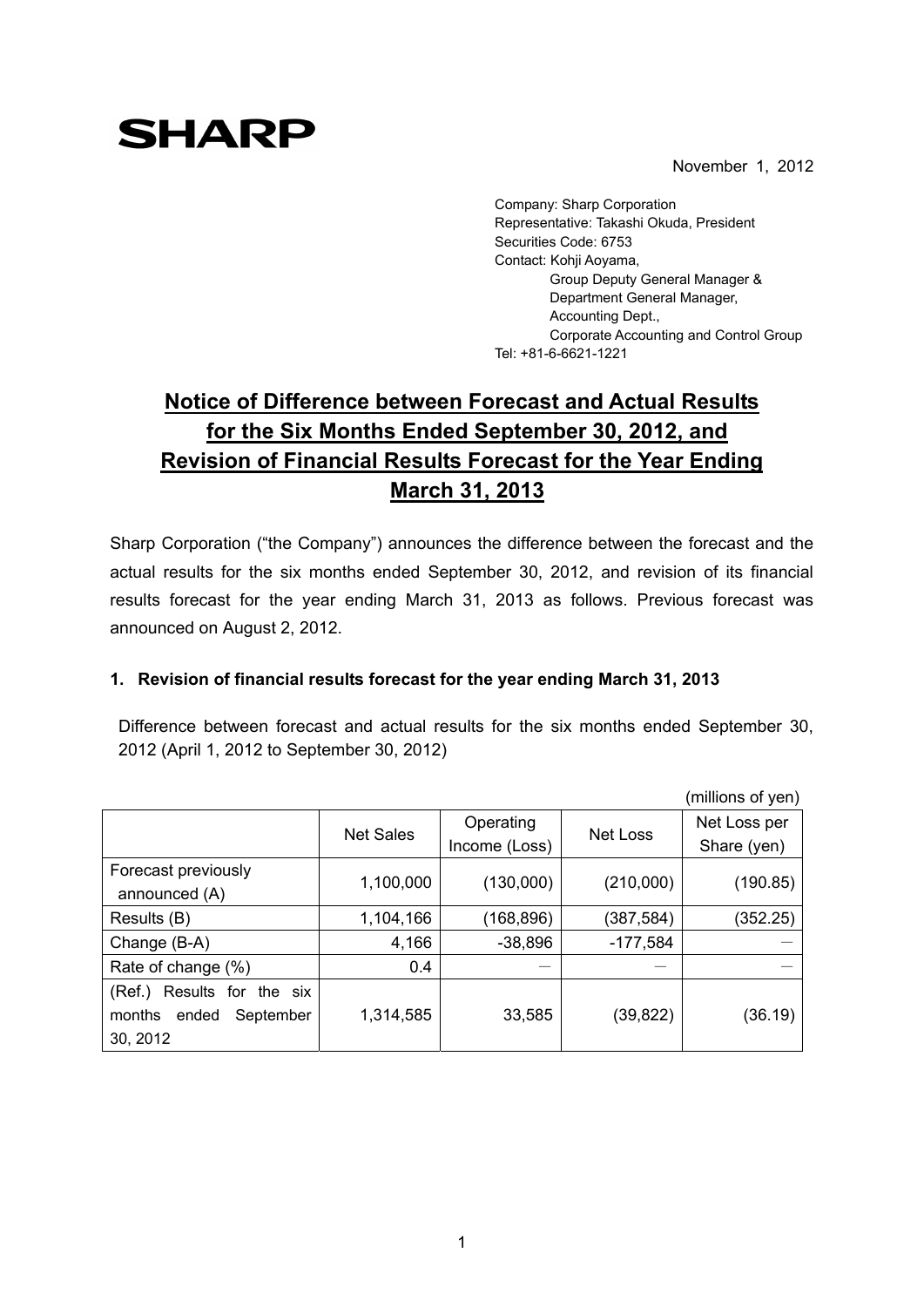November 1, 2012

## **SHARP**

Company: Sharp Corporation Representative: Takashi Okuda, President Securities Code: 6753 Contact: Kohji Aoyama, Group Deputy General Manager & Department General Manager, Accounting Dept., Corporate Accounting and Control Group Tel: +81-6-6621-1221

## **Notice of Difference between Forecast and Actual Results for the Six Months Ended September 30, 2012, and Revision of Financial Results Forecast for the Year Ending March 31, 2013**

Sharp Corporation ("the Company") announces the difference between the forecast and the actual results for the six months ended September 30, 2012, and revision of its financial results forecast for the year ending March 31, 2013 as follows. Previous forecast was announced on August 2, 2012.

## **1. Revision of financial results forecast for the year ending March 31, 2013**

Difference between forecast and actual results for the six months ended September 30, 2012 (April 1, 2012 to September 30, 2012)

|                               |                  |               |            | (millions of yen) |
|-------------------------------|------------------|---------------|------------|-------------------|
|                               | <b>Net Sales</b> | Operating     | Net Loss   | Net Loss per      |
|                               |                  | Income (Loss) |            | Share (yen)       |
| Forecast previously           |                  |               |            |                   |
| announced (A)                 | 1,100,000        | (130,000)     | (210,000)  | (190.85)          |
| Results (B)                   | 1,104,166        | (168, 896)    | (387,584)  | (352.25)          |
| Change (B-A)                  | 4,166            | $-38,896$     | $-177,584$ |                   |
| Rate of change (%)            | 0.4              |               |            |                   |
| Results for the six<br>(Ref.) |                  |               |            |                   |
| months<br>ended<br>September  | 1,314,585        | 33,585        | (39,822)   | (36.19)           |
| 30, 2012                      |                  |               |            |                   |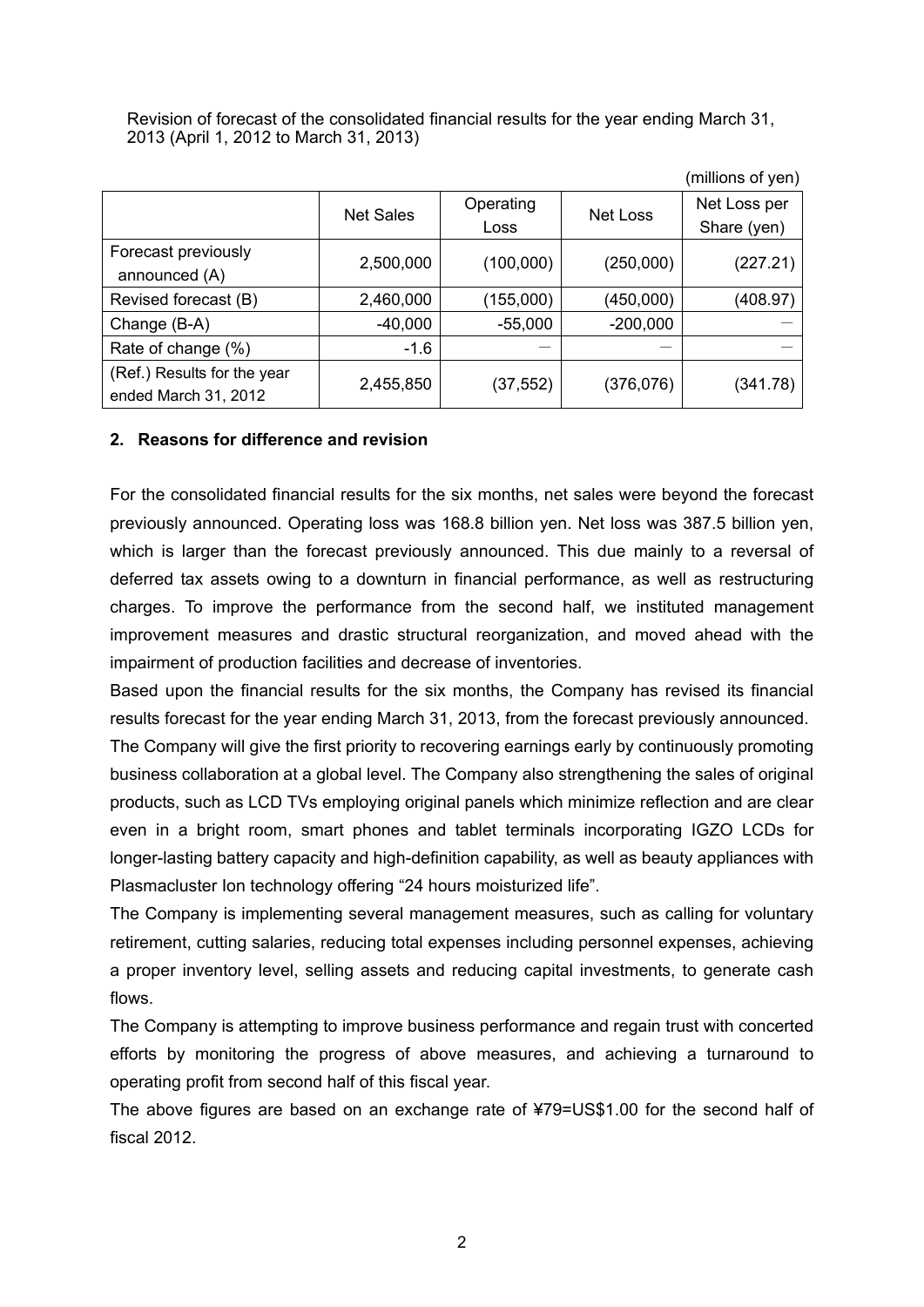Revision of forecast of the consolidated financial results for the year ending March 31, 2013 (April 1, 2012 to March 31, 2013)

|                             |                  |           |            | וושע וט פווטוווווון (ו |
|-----------------------------|------------------|-----------|------------|------------------------|
|                             | <b>Net Sales</b> | Operating | Net Loss   | Net Loss per           |
|                             |                  | Loss      |            | Share (yen)            |
| Forecast previously         | 2,500,000        | (100,000) | (250,000)  | (227.21)               |
| announced (A)               |                  |           |            |                        |
| Revised forecast (B)        | 2,460,000        | (155,000) | (450,000)  | (408.97)               |
| Change (B-A)                | $-40,000$        | $-55,000$ | $-200,000$ |                        |
| Rate of change (%)          | $-1.6$           |           |            |                        |
| (Ref.) Results for the year | 2,455,850        | (37, 552) | (376, 076) | (341.78)               |
| ended March 31, 2012        |                  |           |            |                        |

(millions of yen)

## **2. Reasons for difference and revision**

For the consolidated financial results for the six months, net sales were beyond the forecast previously announced. Operating loss was 168.8 billion yen. Net loss was 387.5 billion yen, which is larger than the forecast previously announced. This due mainly to a reversal of deferred tax assets owing to a downturn in financial performance, as well as restructuring charges. To improve the performance from the second half, we instituted management improvement measures and drastic structural reorganization, and moved ahead with the impairment of production facilities and decrease of inventories.

Based upon the financial results for the six months, the Company has revised its financial results forecast for the year ending March 31, 2013, from the forecast previously announced.

The Company will give the first priority to recovering earnings early by continuously promoting business collaboration at a global level. The Company also strengthening the sales of original products, such as LCD TVs employing original panels which minimize reflection and are clear even in a bright room, smart phones and tablet terminals incorporating IGZO LCDs for longer-lasting battery capacity and high-definition capability, as well as beauty appliances with Plasmacluster Ion technology offering "24 hours moisturized life".

The Company is implementing several management measures, such as calling for voluntary retirement, cutting salaries, reducing total expenses including personnel expenses, achieving a proper inventory level, selling assets and reducing capital investments, to generate cash flows.

The Company is attempting to improve business performance and regain trust with concerted efforts by monitoring the progress of above measures, and achieving a turnaround to operating profit from second half of this fiscal year.

The above figures are based on an exchange rate of ¥79=US\$1.00 for the second half of fiscal 2012.